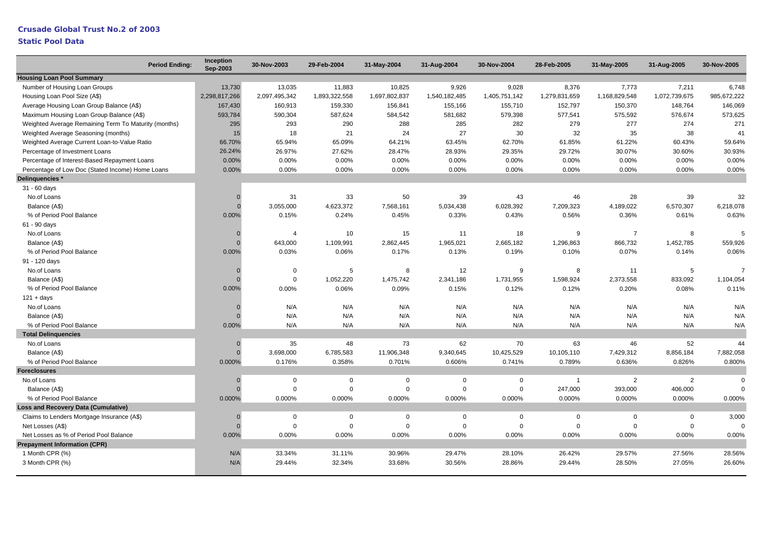## **Crusade Global Trust No.2 of 2003**

| <b>Period Ending:</b>                                | Inception<br>Sep-2003 | 30-Nov-2003    | 29-Feb-2004   | 31-May-2004   | 31-Aug-2004   | 30-Nov-2004   | 28-Feb-2005   | 31-May-2005    | 31-Aug-2005   | 30-Nov-2005 |
|------------------------------------------------------|-----------------------|----------------|---------------|---------------|---------------|---------------|---------------|----------------|---------------|-------------|
| <b>Housing Loan Pool Summary</b>                     |                       |                |               |               |               |               |               |                |               |             |
| Number of Housing Loan Groups                        | 13,730                | 13,035         | 11,883        | 10,825        | 9,926         | 9,028         | 8,376         | 7,773          | 7,211         | 6,748       |
| Housing Loan Pool Size (A\$)                         | 2,298,817,266         | 2,097,495,342  | 1,893,322,558 | 1,697,802,837 | 1,540,182,485 | 1,405,751,142 | 1,279,831,659 | 1,168,829,548  | 1,072,739,675 | 985,672,222 |
| Average Housing Loan Group Balance (A\$)             | 167,430               | 160,913        | 159,330       | 156,841       | 155,166       | 155,710       | 152,797       | 150,370        | 148,764       | 146,069     |
| Maximum Housing Loan Group Balance (A\$)             | 593,784               | 590,304        | 587,624       | 584,542       | 581,682       | 579,398       | 577,541       | 575,592        | 576,674       | 573,625     |
| Weighted Average Remaining Term To Maturity (months) | 295                   | 293            | 290           | 288           | 285           | 282           | 279           | 277            | 274           | 271         |
| Weighted Average Seasoning (months)                  | 15                    | 18             | 21            | 24            | 27            | 30            | 32            | 35             | 38            | 41          |
| Weighted Average Current Loan-to-Value Ratio         | 66.70%                | 65.94%         | 65.09%        | 64.21%        | 63.45%        | 62.70%        | 61.85%        | 61.22%         | 60.43%        | 59.64%      |
| Percentage of Investment Loans                       | 26.24%                | 26.97%         | 27.62%        | 28.47%        | 28.93%        | 29.35%        | 29.72%        | 30.07%         | 30.60%        | 30.93%      |
| Percentage of Interest-Based Repayment Loans         | 0.00%                 | 0.00%          | 0.00%         | 0.00%         | 0.00%         | 0.00%         | 0.00%         | 0.00%          | 0.00%         | 0.00%       |
| Percentage of Low Doc (Stated Income) Home Loans     | 0.00%                 | 0.00%          | 0.00%         | 0.00%         | 0.00%         | 0.00%         | 0.00%         | 0.00%          | 0.00%         | 0.00%       |
| Delinquencies *                                      |                       |                |               |               |               |               |               |                |               |             |
| 31 - 60 days                                         |                       |                |               |               |               |               |               |                |               |             |
| No.of Loans                                          | $\Omega$              | 31             | 33            | 50            | 39            | 43            | 46            | 28             | 39            | 32          |
| Balance (A\$)                                        |                       | 3,055,000      | 4,623,372     | 7,568,161     | 5,034,438     | 6,028,392     | 7,209,323     | 4,189,022      | 6,570,307     | 6,218,078   |
| % of Period Pool Balance                             | 0.00%                 | 0.15%          | 0.24%         | 0.45%         | 0.33%         | 0.43%         | 0.56%         | 0.36%          | 0.61%         | 0.63%       |
| 61 - 90 days                                         |                       |                |               |               |               |               |               |                |               |             |
| No.of Loans                                          | $\Omega$              | $\overline{4}$ | 10            | 15            | 11            | 18            | 9             | $\overline{7}$ | 8             | 5           |
| Balance (A\$)                                        | $\Omega$              | 643,000        | 1,109,991     | 2,862,445     | 1,965,021     | 2,665,182     | 1,296,863     | 866,732        | 1,452,785     | 559,926     |
| % of Period Pool Balance                             | 0.00%                 | 0.03%          | 0.06%         | 0.17%         | 0.13%         | 0.19%         | 0.10%         | 0.07%          | 0.14%         | 0.06%       |
| 91 - 120 days                                        |                       |                |               |               |               |               |               |                |               |             |
| No.of Loans                                          | $\Omega$              | 0              | 5             | 8             | 12            | 9             | 8             | 11             | 5             | 7           |
| Balance (A\$)                                        | $\Omega$              | $\mathsf 0$    | 1,052,220     | 1,475,742     | 2,341,186     | 1,731,955     | 1,598,924     | 2,373,558      | 833,092       | 1,104,054   |
| % of Period Pool Balance                             | 0.00%                 | 0.00%          | 0.06%         | 0.09%         | 0.15%         | 0.12%         | 0.12%         | 0.20%          | 0.08%         | 0.11%       |
| $121 + days$                                         |                       |                |               |               |               |               |               |                |               |             |
| No.of Loans                                          | $\Omega$              | N/A            | N/A           | N/A           | N/A           | N/A           | N/A           | N/A            | N/A           | N/A         |
| Balance (A\$)                                        |                       | N/A            | N/A           | N/A           | N/A           | N/A           | N/A           | N/A            | N/A           | N/A         |
| % of Period Pool Balance                             | 0.00%                 | N/A            | N/A           | N/A           | N/A           | N/A           | N/A           | N/A            | N/A           | N/A         |
| <b>Total Delinquencies</b>                           |                       |                |               |               |               |               |               |                |               |             |
| No.of Loans                                          | $\Omega$              | 35             | 48            | 73            | 62            | 70            | 63            | 46             | 52            | 44          |
| Balance (A\$)                                        | $\Omega$              | 3,698,000      | 6,785,583     | 11,906,348    | 9,340,645     | 10,425,529    | 10,105,110    | 7,429,312      | 8,856,184     | 7,882,058   |
| % of Period Pool Balance                             | 0.000%                | 0.176%         | 0.358%        | 0.701%        | 0.606%        | 0.741%        | 0.789%        | 0.636%         | 0.826%        | 0.800%      |
| <b>Foreclosures</b>                                  |                       |                |               |               |               |               |               |                |               |             |
| No.of Loans                                          | $\Omega$              | $\mathbf 0$    | $\Omega$      | $\Omega$      | $\Omega$      | $\Omega$      | $\mathbf{1}$  | 2              | 2             | $\Omega$    |
| Balance (A\$)                                        |                       | $\Omega$       | $\Omega$      | $\Omega$      | $\Omega$      | $\Omega$      | 247,000       | 393,000        | 406,000       |             |
| % of Period Pool Balance                             | 0.000%                | 0.000%         | 0.000%        | 0.000%        | 0.000%        | 0.000%        | 0.000%        | 0.000%         | 0.000%        | 0.000%      |
| <b>Loss and Recovery Data (Cumulative)</b>           |                       |                |               |               |               |               |               |                |               |             |
| Claims to Lenders Mortgage Insurance (A\$)           | $\Omega$              | $\mathbf 0$    | $\mathbf 0$   | $\mathbf 0$   | $\mathbf 0$   | $\mathbf 0$   | $\mathbf 0$   | $\mathbf 0$    | $\mathbf 0$   | 3,000       |
| Net Losses (A\$)                                     | $\Omega$              | $\Omega$       | $\Omega$      | $\Omega$      | $\Omega$      | $\mathbf 0$   | $\Omega$      | $\Omega$       | $\mathbf 0$   |             |
| Net Losses as % of Period Pool Balance               | 0.00%                 | 0.00%          | 0.00%         | 0.00%         | 0.00%         | 0.00%         | 0.00%         | 0.00%          | 0.00%         | 0.00%       |
| <b>Prepayment Information (CPR)</b>                  |                       |                |               |               |               |               |               |                |               |             |
| 1 Month CPR (%)                                      | N/A                   | 33.34%         | 31.11%        | 30.96%        | 29.47%        | 28.10%        | 26.42%        | 29.57%         | 27.56%        | 28.56%      |
| 3 Month CPR (%)                                      | N/A                   | 29.44%         | 32.34%        | 33.68%        | 30.56%        | 28.86%        | 29.44%        | 28.50%         | 27.05%        | 26.60%      |
|                                                      |                       |                |               |               |               |               |               |                |               |             |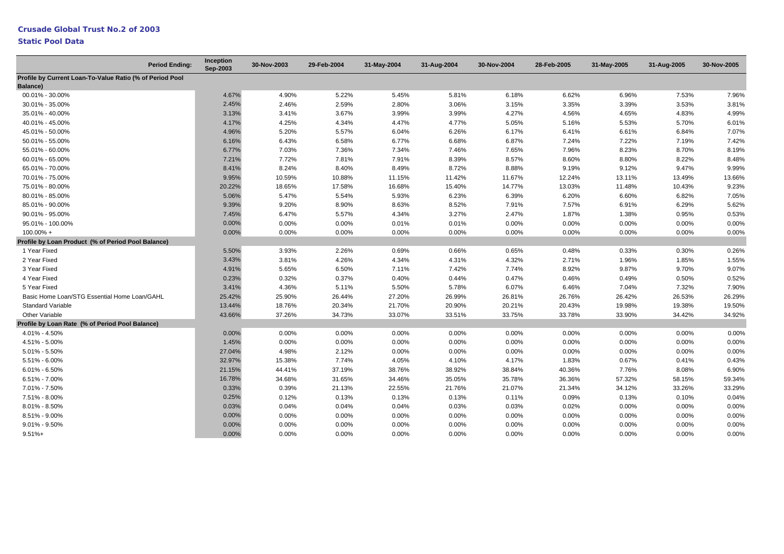|                                                                      | <b>Period Ending:</b> | Inception<br>Sep-2003 | 30-Nov-2003 | 29-Feb-2004 | 31-May-2004 | 31-Aug-2004 | 30-Nov-2004 | 28-Feb-2005 | 31-May-2005 | 31-Aug-2005 | 30-Nov-2005 |
|----------------------------------------------------------------------|-----------------------|-----------------------|-------------|-------------|-------------|-------------|-------------|-------------|-------------|-------------|-------------|
| Profile by Current Loan-To-Value Ratio (% of Period Pool<br>Balance) |                       |                       |             |             |             |             |             |             |             |             |             |
| 00.01% - 30.00%                                                      |                       | 4.67%                 | 4.90%       | 5.22%       | 5.45%       | 5.81%       | 6.18%       | 6.62%       | 6.96%       | 7.53%       | 7.96%       |
| 30.01% - 35.00%                                                      |                       | 2.45%                 | 2.46%       | 2.59%       | 2.80%       | 3.06%       | 3.15%       | 3.35%       | 3.39%       | 3.53%       | 3.81%       |
| 35.01% - 40.00%                                                      |                       | 3.13%                 | 3.41%       | 3.67%       | 3.99%       | 3.99%       | 4.27%       | 4.56%       | 4.65%       | 4.83%       | 4.99%       |
| 40.01% - 45.00%                                                      |                       | 4.17%                 | 4.25%       | 4.34%       | 4.47%       | 4.77%       | 5.05%       | 5.16%       | 5.53%       | 5.70%       | 6.01%       |
| 45.01% - 50.00%                                                      |                       | 4.96%                 | 5.20%       | 5.57%       | 6.04%       | 6.26%       | 6.17%       | 6.41%       | 6.61%       | 6.84%       | 7.07%       |
| 50.01% - 55.00%                                                      |                       | 6.16%                 | 6.43%       | 6.58%       | 6.77%       | 6.68%       | 6.87%       | 7.24%       | 7.22%       | 7.19%       | 7.42%       |
| 55.01% - 60.00%                                                      |                       | 6.77%                 | 7.03%       | 7.36%       | 7.34%       | 7.46%       | 7.65%       | 7.96%       | 8.23%       | 8.70%       | 8.19%       |
| 60.01% - 65.00%                                                      |                       | 7.21%                 | 7.72%       | 7.81%       | 7.91%       | 8.39%       | 8.57%       | 8.60%       | 8.80%       | 8.22%       | 8.48%       |
| 65.01% - 70.00%                                                      |                       | 8.41%                 | 8.24%       | 8.40%       | 8.49%       | 8.72%       | 8.88%       | 9.19%       | 9.12%       | 9.47%       | 9.99%       |
| 70.01% - 75.00%                                                      |                       | 9.95%                 | 10.59%      | 10.88%      | 11.15%      | 11.42%      | 11.67%      | 12.24%      | 13.11%      | 13.49%      | 13.66%      |
| 75.01% - 80.00%                                                      |                       | 20.22%                | 18.65%      | 17.58%      | 16.68%      | 15.40%      | 14.77%      | 13.03%      | 11.48%      | 10.43%      | 9.23%       |
| 80.01% - 85.00%                                                      |                       | 5.06%                 | 5.47%       | 5.54%       | 5.93%       | 6.23%       | 6.39%       | 6.20%       | 6.60%       | 6.82%       | 7.05%       |
| 85.01% - 90.00%                                                      |                       | 9.39%                 | 9.20%       | 8.90%       | 8.63%       | 8.52%       | 7.91%       | 7.57%       | 6.91%       | 6.29%       | 5.62%       |
| 90.01% - 95.00%                                                      |                       | 7.45%                 | 6.47%       | 5.57%       | 4.34%       | 3.27%       | 2.47%       | 1.87%       | 1.38%       | 0.95%       | 0.53%       |
| 95.01% - 100.00%                                                     |                       | 0.00%                 | 0.00%       | 0.00%       | 0.01%       | 0.01%       | 0.00%       | 0.00%       | 0.00%       | 0.00%       | 0.00%       |
| 100.00% +                                                            |                       | 0.00%                 | 0.00%       | 0.00%       | 0.00%       | 0.00%       | 0.00%       | 0.00%       | 0.00%       | 0.00%       | 0.00%       |
| Profile by Loan Product (% of Period Pool Balance)                   |                       |                       |             |             |             |             |             |             |             |             |             |
| 1 Year Fixed                                                         |                       | 5.50%                 | 3.93%       | 2.26%       | 0.69%       | 0.66%       | 0.65%       | 0.48%       | 0.33%       | 0.30%       | 0.26%       |
| 2 Year Fixed                                                         |                       | 3.43%                 | 3.81%       | 4.26%       | 4.34%       | 4.31%       | 4.32%       | 2.71%       | 1.96%       | 1.85%       | 1.55%       |
| 3 Year Fixed                                                         |                       | 4.91%                 | 5.65%       | 6.50%       | 7.11%       | 7.42%       | 7.74%       | 8.92%       | 9.87%       | 9.70%       | 9.07%       |
| 4 Year Fixed                                                         |                       | 0.23%                 | 0.32%       | 0.37%       | 0.40%       | 0.44%       | 0.47%       | 0.46%       | 0.49%       | 0.50%       | 0.52%       |
| 5 Year Fixed                                                         |                       | 3.41%                 | 4.36%       | 5.11%       | 5.50%       | 5.78%       | 6.07%       | 6.46%       | 7.04%       | 7.32%       | 7.90%       |
| Basic Home Loan/STG Essential Home Loan/GAHL                         |                       | 25.42%                | 25.90%      | 26.44%      | 27.20%      | 26.99%      | 26.81%      | 26.76%      | 26.42%      | 26.53%      | 26.29%      |
| <b>Standard Variable</b>                                             |                       | 13.44%                | 18.76%      | 20.34%      | 21.70%      | 20.90%      | 20.21%      | 20.43%      | 19.98%      | 19.38%      | 19.50%      |
| <b>Other Variable</b>                                                |                       | 43.66%                | 37.26%      | 34.73%      | 33.07%      | 33.51%      | 33.75%      | 33.78%      | 33.90%      | 34.42%      | 34.92%      |
| Profile by Loan Rate (% of Period Pool Balance)                      |                       |                       |             |             |             |             |             |             |             |             |             |
| 4.01% - 4.50%                                                        |                       | 0.00%                 | $0.00\%$    | 0.00%       | 0.00%       | 0.00%       | $0.00\%$    | 0.00%       | $0.00\%$    | $0.00\%$    | 0.00%       |
| 4.51% - 5.00%                                                        |                       | 1.45%                 | 0.00%       | 0.00%       | 0.00%       | 0.00%       | 0.00%       | 0.00%       | 0.00%       | 0.00%       | 0.00%       |
| $5.01\% - 5.50\%$                                                    |                       | 27.04%                | 4.98%       | 2.12%       | 0.00%       | 0.00%       | 0.00%       | 0.00%       | 0.00%       | 0.00%       | 0.00%       |
| 5.51% - 6.00%                                                        |                       | 32.97%                | 15.38%      | 7.74%       | 4.05%       | 4.10%       | 4.17%       | 1.83%       | 0.67%       | 0.41%       | 0.43%       |
| $6.01\% - 6.50\%$                                                    |                       | 21.15%                | 44.41%      | 37.19%      | 38.76%      | 38.92%      | 38.84%      | 40.36%      | 7.76%       | 8.08%       | 6.90%       |
| $6.51\% - 7.00\%$                                                    |                       | 16.78%                | 34.68%      | 31.65%      | 34.46%      | 35.05%      | 35.78%      | 36.36%      | 57.32%      | 58.15%      | 59.34%      |
| 7.01% - 7.50%                                                        |                       | 0.33%                 | 0.39%       | 21.13%      | 22.55%      | 21.76%      | 21.07%      | 21.34%      | 34.12%      | 33.26%      | 33.29%      |
| 7.51% - 8.00%                                                        |                       | 0.25%                 | 0.12%       | 0.13%       | 0.13%       | 0.13%       | 0.11%       | 0.09%       | 0.13%       | 0.10%       | 0.04%       |
| 8.01% - 8.50%                                                        |                       | 0.03%                 | 0.04%       | 0.04%       | 0.04%       | 0.03%       | 0.03%       | 0.02%       | 0.00%       | 0.00%       | 0.00%       |
| 8.51% - 9.00%                                                        |                       | 0.00%                 | 0.00%       | 0.00%       | 0.00%       | 0.00%       | 0.00%       | 0.00%       | 0.00%       | 0.00%       | 0.00%       |
| $9.01\% - 9.50\%$                                                    |                       | 0.00%                 | 0.00%       | 0.00%       | 0.00%       | 0.00%       | 0.00%       | 0.00%       | 0.00%       | 0.00%       | 0.00%       |
| $9.51% +$                                                            |                       | 0.00%                 | 0.00%       | 0.00%       | 0.00%       | 0.00%       | 0.00%       | 0.00%       | 0.00%       | 0.00%       | 0.00%       |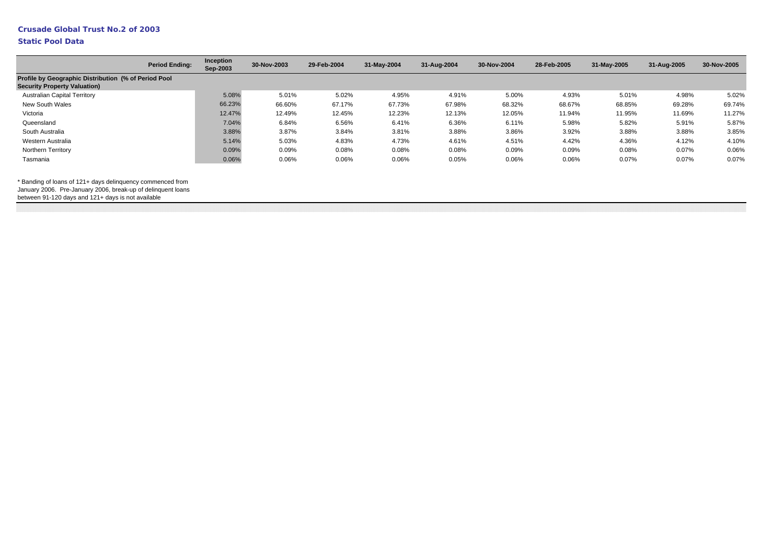# **Crusade Global Trust No.2 of 2003**

#### **Static Pool Data**

| <b>Period Ending:</b>                                | Inception<br>Sep-2003 | 30-Nov-2003 | 29-Feb-2004 | 31-May-2004 | 31-Aug-2004 | 30-Nov-2004 | 28-Feb-2005 | 31-May-2005 | 31-Aug-2005 | 30-Nov-2005 |
|------------------------------------------------------|-----------------------|-------------|-------------|-------------|-------------|-------------|-------------|-------------|-------------|-------------|
| Profile by Geographic Distribution (% of Period Pool |                       |             |             |             |             |             |             |             |             |             |
|                                                      |                       |             |             |             |             |             |             |             |             |             |
|                                                      | 5.08%                 | 5.01%       | 5.02%       | 4.95%       | 4.91%       | 5.00%       | 4.93%       | 5.01%       | 4.98%       | 5.02%       |
|                                                      | 66.23%                | 66.60%      | 67.17%      | 67.73%      | 67.98%      | 68.32%      | 68.67%      | 68.85%      | 69.28%      | 69.74%      |
|                                                      | 12.47%                | 12.49%      | 12.45%      | 12.23%      | 12.13%      | 12.05%      | 11.94%      | 11.95%      | 11.69%      | 11.27%      |
|                                                      | 7.04%                 | 6.84%       | 6.56%       | 6.41%       | 6.36%       | 6.11%       | 5.98%       | 5.82%       | 5.91%       | 5.87%       |
|                                                      | 3.88%                 | 3.87%       | 3.84%       | 3.81%       | 3.88%       | 3.86%       | 3.92%       | 3.88%       | 3.88%       | 3.85%       |
|                                                      | 5.14%                 | 5.03%       | 4.83%       | 4.73%       | 4.61%       | 4.51%       | 4.42%       | 4.36%       | 4.12%       | 4.10%       |
|                                                      | 0.09%                 | 0.09%       | 0.08%       | 0.08%       | 0.08%       | 0.09%       | 0.09%       | 0.08%       | 0.07%       | 0.06%       |
|                                                      | 0.06%                 | 0.06%       | 0.06%       | 0.06%       | 0.05%       | 0.06%       | 0.06%       | 0.07%       | 0.07%       | 0.07%       |
|                                                      |                       |             |             |             |             |             |             |             |             |             |

\* Banding of loans of 121+ days delinquency commenced from

January 2006. Pre-January 2006, break-up of delinquent loans

between 91-120 days and 121+ days is not available

|  | на составлятие на составлятие на составлятие на составлятие на составлятие на составлятие на составлятие на составлятие на составлятие на составлятие на составлятие на составлятие на составлятие на составлятие на соста |  |  |  |  |  |  |  |  |  |
|--|----------------------------------------------------------------------------------------------------------------------------------------------------------------------------------------------------------------------------|--|--|--|--|--|--|--|--|--|
|  |                                                                                                                                                                                                                            |  |  |  |  |  |  |  |  |  |
|  |                                                                                                                                                                                                                            |  |  |  |  |  |  |  |  |  |
|  |                                                                                                                                                                                                                            |  |  |  |  |  |  |  |  |  |
|  |                                                                                                                                                                                                                            |  |  |  |  |  |  |  |  |  |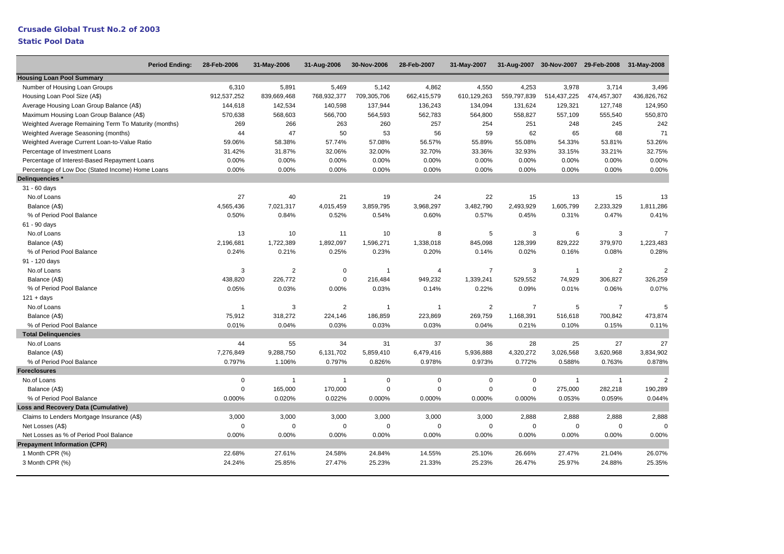#### **Crusade Global Trust No.2 of 2003**

| <b>Period Ending:</b>                                | 28-Feb-2006    | 31-May-2006    | 31-Aug-2006    | 30-Nov-2006  | 28-Feb-2007    | 31-May-2007    |                |                | 31-Aug-2007 30-Nov-2007 29-Feb-2008 31-May-2008 |                |
|------------------------------------------------------|----------------|----------------|----------------|--------------|----------------|----------------|----------------|----------------|-------------------------------------------------|----------------|
| <b>Housing Loan Pool Summary</b>                     |                |                |                |              |                |                |                |                |                                                 |                |
| Number of Housing Loan Groups                        | 6,310          | 5,891          | 5,469          | 5,142        | 4,862          | 4,550          | 4,253          | 3,978          | 3,714                                           | 3,496          |
| Housing Loan Pool Size (A\$)                         | 912,537,252    | 839,669,468    | 768,932,377    | 709,305,706  | 662,415,579    | 610,129,263    | 559,797,839    | 514,437,225    | 474,457,307                                     | 436,826,762    |
| Average Housing Loan Group Balance (A\$)             | 144,618        | 142,534        | 140,598        | 137,944      | 136,243        | 134,094        | 131,624        | 129,321        | 127,748                                         | 124,950        |
| Maximum Housing Loan Group Balance (A\$)             | 570,638        | 568,603        | 566,700        | 564,593      | 562,783        | 564,800        | 558,827        | 557,109        | 555,540                                         | 550,870        |
| Weighted Average Remaining Term To Maturity (months) | 269            | 266            | 263            | 260          | 257            | 254            | 251            | 248            | 245                                             | 242            |
| Weighted Average Seasoning (months)                  | 44             | 47             | 50             | 53           | 56             | 59             | 62             | 65             | 68                                              | 71             |
| Weighted Average Current Loan-to-Value Ratio         | 59.06%         | 58.38%         | 57.74%         | 57.08%       | 56.57%         | 55.89%         | 55.08%         | 54.33%         | 53.81%                                          | 53.26%         |
| Percentage of Investment Loans                       | 31.42%         | 31.87%         | 32.06%         | 32.00%       | 32.70%         | 33.36%         | 32.93%         | 33.15%         | 33.21%                                          | 32.75%         |
| Percentage of Interest-Based Repayment Loans         | 0.00%          | 0.00%          | 0.00%          | 0.00%        | 0.00%          | 0.00%          | 0.00%          | 0.00%          | 0.00%                                           | 0.00%          |
| Percentage of Low Doc (Stated Income) Home Loans     | 0.00%          | 0.00%          | 0.00%          | 0.00%        | 0.00%          | 0.00%          | 0.00%          | 0.00%          | 0.00%                                           | 0.00%          |
| Delinquencies *                                      |                |                |                |              |                |                |                |                |                                                 |                |
| 31 - 60 days                                         |                |                |                |              |                |                |                |                |                                                 |                |
| No.of Loans                                          | 27             | 40             | 21             | 19           | 24             | 22             | 15             | 13             | 15                                              | 13             |
| Balance (A\$)                                        | 4,565,436      | 7,021,317      | 4,015,459      | 3,859,795    | 3,968,297      | 3,482,790      | 2,493,929      | 1,605,799      | 2,233,329                                       | 1,811,286      |
| % of Period Pool Balance                             | 0.50%          | 0.84%          | 0.52%          | 0.54%        | 0.60%          | 0.57%          | 0.45%          | 0.31%          | 0.47%                                           | 0.41%          |
| 61 - 90 days                                         |                |                |                |              |                |                |                |                |                                                 |                |
| No.of Loans                                          | 13             | 10             | 11             | 10           | 8              | 5              | 3              | 6              | 3                                               | $\overline{7}$ |
| Balance (A\$)                                        | 2,196,681      | 1,722,389      | 1,892,097      | 1,596,271    | 1,338,018      | 845,098        | 128,399        | 829,222        | 379,970                                         | 1,223,483      |
| % of Period Pool Balance                             | 0.24%          | 0.21%          | 0.25%          | 0.23%        | 0.20%          | 0.14%          | 0.02%          | 0.16%          | 0.08%                                           | 0.28%          |
| 91 - 120 days                                        |                |                |                |              |                |                |                |                |                                                 |                |
| No.of Loans                                          | 3              | $\overline{2}$ | $\mathbf 0$    | $\mathbf{1}$ | 4              | $\overline{7}$ | 3              | $\overline{1}$ | $\overline{2}$                                  | $\overline{2}$ |
| Balance (A\$)                                        | 438,820        | 226,772        | $\Omega$       | 216,484      | 949,232        | 1,339,241      | 529,552        | 74,929         | 306,827                                         | 326,259        |
| % of Period Pool Balance                             | 0.05%          | 0.03%          | 0.00%          | 0.03%        | 0.14%          | 0.22%          | 0.09%          | 0.01%          | 0.06%                                           | 0.07%          |
| $121 + days$                                         |                |                |                |              |                |                |                |                |                                                 |                |
| No.of Loans                                          | $\overline{1}$ | 3              | $\overline{2}$ | $\mathbf{1}$ | $\overline{1}$ | $\overline{2}$ | $\overline{7}$ | 5              | $\overline{7}$                                  | 5              |
| Balance (A\$)                                        | 75,912         | 318,272        | 224,146        | 186,859      | 223,869        | 269,759        | 1,168,391      | 516,618        | 700,842                                         | 473,874        |
| % of Period Pool Balance                             | 0.01%          | 0.04%          | 0.03%          | 0.03%        | 0.03%          | 0.04%          | 0.21%          | 0.10%          | 0.15%                                           | 0.11%          |
| <b>Total Delinguencies</b>                           |                |                |                |              |                |                |                |                |                                                 |                |
| No.of Loans                                          | 44             | 55             | 34             | 31           | 37             | 36             | 28             | 25             | 27                                              | 27             |
| Balance (A\$)                                        | 7,276,849      | 9,288,750      | 6,131,702      | 5,859,410    | 6,479,416      | 5,936,888      | 4,320,272      | 3,026,568      | 3,620,968                                       | 3,834,902      |
| % of Period Pool Balance                             | 0.797%         | 1.106%         | 0.797%         | 0.826%       | 0.978%         | 0.973%         | 0.772%         | 0.588%         | 0.763%                                          | 0.878%         |
| <b>Foreclosures</b>                                  |                |                |                |              |                |                |                |                |                                                 |                |
| No.of Loans                                          | 0              | $\overline{1}$ | $\overline{1}$ | $\mathbf 0$  | $\mathbf 0$    | $\mathbf 0$    | $\mathbf 0$    | $\overline{1}$ | $\mathbf{1}$                                    | $\mathfrak{p}$ |
| Balance (A\$)                                        | $\mathbf 0$    | 165,000        | 170,000        | $\Omega$     | $\mathbf 0$    | $\mathbf 0$    | $\mathsf 0$    | 275,000        | 282,218                                         | 190,289        |
| % of Period Pool Balance                             | 0.000%         | 0.020%         | 0.022%         | 0.000%       | 0.000%         | 0.000%         | 0.000%         | 0.053%         | 0.059%                                          | 0.044%         |
| <b>Loss and Recovery Data (Cumulative)</b>           |                |                |                |              |                |                |                |                |                                                 |                |
| Claims to Lenders Mortgage Insurance (A\$)           | 3,000          | 3,000          | 3,000          | 3,000        | 3,000          | 3,000          | 2,888          | 2,888          | 2,888                                           | 2,888          |
| Net Losses (A\$)                                     | 0              | $\Omega$       | $\Omega$       | $\Omega$     | $\pmb{0}$      | 0              | $\mathbf 0$    | $\mathbf 0$    | $\mathbf 0$                                     | $\Omega$       |
| Net Losses as % of Period Pool Balance               | 0.00%          | 0.00%          | 0.00%          | 0.00%        | 0.00%          | 0.00%          | 0.00%          | 0.00%          | 0.00%                                           | 0.00%          |
| <b>Prepayment Information (CPR)</b>                  |                |                |                |              |                |                |                |                |                                                 |                |
| 1 Month CPR (%)                                      | 22.68%         | 27.61%         | 24.58%         | 24.84%       | 14.55%         | 25.10%         | 26.66%         | 27.47%         | 21.04%                                          | 26.07%         |
| 3 Month CPR (%)                                      | 24.24%         | 25.85%         | 27.47%         | 25.23%       | 21.33%         | 25.23%         | 26.47%         | 25.97%         | 24.88%                                          | 25.35%         |
|                                                      |                |                |                |              |                |                |                |                |                                                 |                |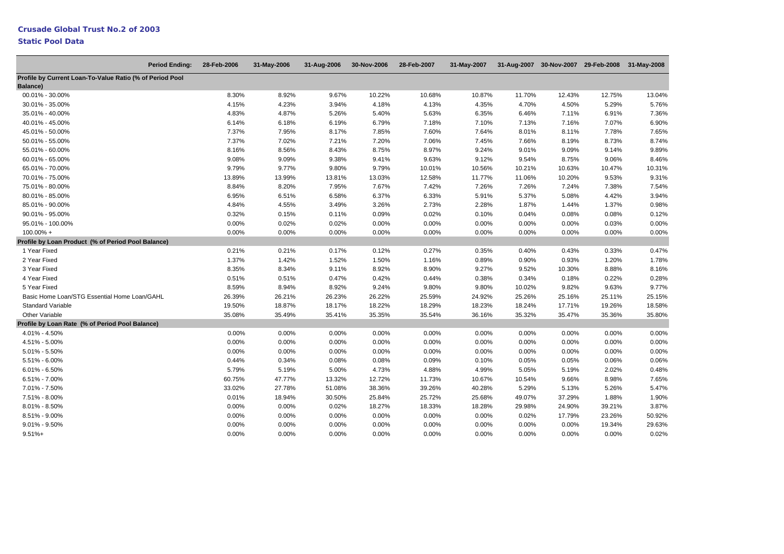| <b>Period Ending:</b>                                    | 28-Feb-2006 | 31-May-2006 | 31-Aug-2006 | 30-Nov-2006 | 28-Feb-2007 | 31-May-2007 |          |        | 31-Aug-2007 30-Nov-2007 29-Feb-2008 31-May-2008 |        |
|----------------------------------------------------------|-------------|-------------|-------------|-------------|-------------|-------------|----------|--------|-------------------------------------------------|--------|
| Profile by Current Loan-To-Value Ratio (% of Period Pool |             |             |             |             |             |             |          |        |                                                 |        |
| Balance)                                                 |             |             |             |             |             |             |          |        |                                                 |        |
| 00.01% - 30.00%                                          | 8.30%       | 8.92%       | 9.67%       | 10.22%      | 10.68%      | 10.87%      | 11.70%   | 12.43% | 12.75%                                          | 13.04% |
| 30.01% - 35.00%                                          | 4.15%       | 4.23%       | 3.94%       | 4.18%       | 4.13%       | 4.35%       | 4.70%    | 4.50%  | 5.29%                                           | 5.76%  |
| 35.01% - 40.00%                                          | 4.83%       | 4.87%       | 5.26%       | 5.40%       | 5.63%       | 6.35%       | 6.46%    | 7.11%  | 6.91%                                           | 7.36%  |
| 40.01% - 45.00%                                          | 6.14%       | 6.18%       | 6.19%       | 6.79%       | 7.18%       | 7.10%       | 7.13%    | 7.16%  | 7.07%                                           | 6.90%  |
| 45.01% - 50.00%                                          | 7.37%       | 7.95%       | 8.17%       | 7.85%       | 7.60%       | 7.64%       | 8.01%    | 8.11%  | 7.78%                                           | 7.65%  |
| 50.01% - 55.00%                                          | 7.37%       | 7.02%       | 7.21%       | 7.20%       | 7.06%       | 7.45%       | 7.66%    | 8.19%  | 8.73%                                           | 8.74%  |
| 55.01% - 60.00%                                          | 8.16%       | 8.56%       | 8.43%       | 8.75%       | 8.97%       | 9.24%       | 9.01%    | 9.09%  | 9.14%                                           | 9.89%  |
| 60.01% - 65.00%                                          | 9.08%       | 9.09%       | 9.38%       | 9.41%       | 9.63%       | 9.12%       | 9.54%    | 8.75%  | 9.06%                                           | 8.46%  |
| 65.01% - 70.00%                                          | 9.79%       | 9.77%       | 9.80%       | 9.79%       | 10.01%      | 10.56%      | 10.21%   | 10.63% | 10.47%                                          | 10.31% |
| 70.01% - 75.00%                                          | 13.89%      | 13.99%      | 13.81%      | 13.03%      | 12.58%      | 11.77%      | 11.06%   | 10.20% | 9.53%                                           | 9.31%  |
| 75.01% - 80.00%                                          | 8.84%       | 8.20%       | 7.95%       | 7.67%       | 7.42%       | 7.26%       | 7.26%    | 7.24%  | 7.38%                                           | 7.54%  |
| 80.01% - 85.00%                                          | 6.95%       | 6.51%       | 6.58%       | 6.37%       | 6.33%       | 5.91%       | 5.37%    | 5.08%  | 4.42%                                           | 3.94%  |
| 85.01% - 90.00%                                          | 4.84%       | 4.55%       | 3.49%       | 3.26%       | 2.73%       | 2.28%       | 1.87%    | 1.44%  | 1.37%                                           | 0.98%  |
| 90.01% - 95.00%                                          | 0.32%       | 0.15%       | 0.11%       | 0.09%       | 0.02%       | 0.10%       | 0.04%    | 0.08%  | 0.08%                                           | 0.12%  |
| 95.01% - 100.00%                                         | 0.00%       | 0.02%       | 0.02%       | 0.00%       | 0.00%       | 0.00%       | $0.00\%$ | 0.00%  | 0.03%                                           | 0.00%  |
| $100.00\% +$                                             | 0.00%       | 0.00%       | 0.00%       | 0.00%       | 0.00%       | 0.00%       | 0.00%    | 0.00%  | 0.00%                                           | 0.00%  |
| Profile by Loan Product (% of Period Pool Balance)       |             |             |             |             |             |             |          |        |                                                 |        |
| 1 Year Fixed                                             | 0.21%       | 0.21%       | 0.17%       | 0.12%       | 0.27%       | 0.35%       | 0.40%    | 0.43%  | 0.33%                                           | 0.47%  |
| 2 Year Fixed                                             | 1.37%       | 1.42%       | 1.52%       | 1.50%       | 1.16%       | 0.89%       | 0.90%    | 0.93%  | 1.20%                                           | 1.78%  |
| 3 Year Fixed                                             | 8.35%       | 8.34%       | 9.11%       | 8.92%       | 8.90%       | 9.27%       | 9.52%    | 10.30% | 8.88%                                           | 8.16%  |
| 4 Year Fixed                                             | 0.51%       | 0.51%       | 0.47%       | 0.42%       | 0.44%       | 0.38%       | 0.34%    | 0.18%  | 0.22%                                           | 0.28%  |
| 5 Year Fixed                                             | 8.59%       | 8.94%       | 8.92%       | 9.24%       | 9.80%       | 9.80%       | 10.02%   | 9.82%  | 9.63%                                           | 9.77%  |
| Basic Home Loan/STG Essential Home Loan/GAHL             | 26.39%      | 26.21%      | 26.23%      | 26.22%      | 25.59%      | 24.92%      | 25.26%   | 25.16% | 25.11%                                          | 25.15% |
| <b>Standard Variable</b>                                 | 19.50%      | 18.87%      | 18.17%      | 18.22%      | 18.29%      | 18.23%      | 18.24%   | 17.71% | 19.26%                                          | 18.58% |
| <b>Other Variable</b>                                    | 35.08%      | 35.49%      | 35.41%      | 35.35%      | 35.54%      | 36.16%      | 35.32%   | 35.47% | 35.36%                                          | 35.80% |
| Profile by Loan Rate (% of Period Pool Balance)          |             |             |             |             |             |             |          |        |                                                 |        |
| 4.01% - 4.50%                                            | 0.00%       | 0.00%       | 0.00%       | 0.00%       | 0.00%       | 0.00%       | 0.00%    | 0.00%  | 0.00%                                           | 0.00%  |
| 4.51% - 5.00%                                            | 0.00%       | 0.00%       | 0.00%       | 0.00%       | 0.00%       | 0.00%       | 0.00%    | 0.00%  | 0.00%                                           | 0.00%  |
| $5.01\% - 5.50\%$                                        | 0.00%       | 0.00%       | 0.00%       | 0.00%       | 0.00%       | 0.00%       | 0.00%    | 0.00%  | 0.00%                                           | 0.00%  |
| 5.51% - 6.00%                                            | 0.44%       | 0.34%       | 0.08%       | 0.08%       | 0.09%       | 0.10%       | 0.05%    | 0.05%  | 0.06%                                           | 0.06%  |
| $6.01\% - 6.50\%$                                        | 5.79%       | 5.19%       | 5.00%       | 4.73%       | 4.88%       | 4.99%       | 5.05%    | 5.19%  | 2.02%                                           | 0.48%  |
| 6.51% - 7.00%                                            | 60.75%      | 47.77%      | 13.32%      | 12.72%      | 11.73%      | 10.67%      | 10.54%   | 9.66%  | 8.98%                                           | 7.65%  |
| 7.01% - 7.50%                                            | 33.02%      | 27.78%      | 51.08%      | 38.36%      | 39.26%      | 40.28%      | 5.29%    | 5.13%  | 5.26%                                           | 5.47%  |
| 7.51% - 8.00%                                            | 0.01%       | 18.94%      | 30.50%      | 25.84%      | 25.72%      | 25.68%      | 49.07%   | 37.29% | 1.88%                                           | 1.90%  |
| 8.01% - 8.50%                                            | 0.00%       | 0.00%       | 0.02%       | 18.27%      | 18.33%      | 18.28%      | 29.98%   | 24.90% | 39.21%                                          | 3.87%  |
| 8.51% - 9.00%                                            | 0.00%       | 0.00%       | 0.00%       | 0.00%       | 0.00%       | 0.00%       | 0.02%    | 17.79% | 23.26%                                          | 50.92% |
| $9.01\% - 9.50\%$                                        | 0.00%       | 0.00%       | 0.00%       | 0.00%       | 0.00%       | 0.00%       | 0.00%    | 0.00%  | 19.34%                                          | 29.63% |
| $9.51% +$                                                | 0.00%       | 0.00%       | 0.00%       | 0.00%       | 0.00%       | 0.00%       | 0.00%    | 0.00%  | 0.00%                                           | 0.02%  |